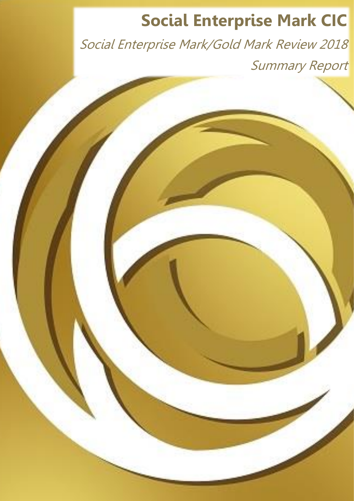# **Social Enterprise Mark CIC**

Page | 1

Social Enterprise Mark/Gold Mark Review 2018 Summary Report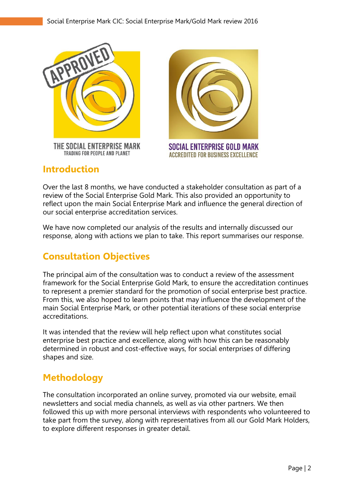

THE SOCIAL ENTERPRISE MARK TRADING FOR PEOPLE AND PLANET



## **Introduction**

Over the last 8 months, we have conducted a stakeholder consultation as part of a review of the Social Enterprise Gold Mark. This also provided an opportunity to reflect upon the main Social Enterprise Mark and influence the general direction of our social enterprise accreditation services.

We have now completed our analysis of the results and internally discussed our response, along with actions we plan to take. This report summarises our response.

# **Consultation Objectives**

The principal aim of the consultation was to conduct a review of the assessment framework for the Social Enterprise Gold Mark, to ensure the accreditation continues to represent a premier standard for the promotion of social enterprise best practice. From this, we also hoped to learn points that may influence the development of the main Social Enterprise Mark, or other potential iterations of these social enterprise accreditations.

It was intended that the review will help reflect upon what constitutes social enterprise best practice and excellence, along with how this can be reasonably determined in robust and cost-effective ways, for social enterprises of differing shapes and size.

## **Methodology**

The consultation incorporated an online survey, promoted via our website, email newsletters and social media channels, as well as via other partners. We then followed this up with more personal interviews with respondents who volunteered to take part from the survey, along with representatives from all our Gold Mark Holders, to explore different responses in greater detail.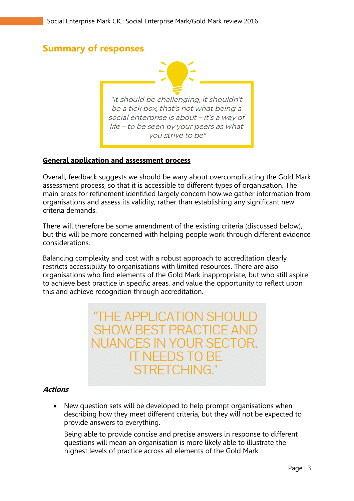## **Summary of responses**

"It should be challenging, it shouldn't be a tick box, that's not what being a social enterprise is about - it's a way of life - to be seen by your peers as what you strive to be"

#### **General application and assessment process**

Overall, feedback suggests we should be wary about overcomplicating the Gold Mark assessment process, so that it is accessible to different types of organisation. The main areas for refinement identified largely concern how we gather information from organisations and assess its validity, rather than establishing any significant new criteria demands.

There will therefore be some amendment of the existing criteria (discussed below), but this will be more concerned with helping people work through different evidence considerations.

Balancing complexity and cost with a robust approach to accreditation clearly restricts accessibility to organisations with limited resources. There are also organisations who find elements of the Gold Mark inappropriate, but who still aspire to achieve best practice in specific areas, and value the opportunity to reflect upon this and achieve recognition through accreditation.

> "THE APPLICATION SHOUL **SHOW BEST PRACTICE AN NUANCES IN YO** T NFFDS T STRETCHING.

#### **Actions**

• New question sets will be developed to help prompt organisations when describing how they meet different criteria, but they will not be expected to provide answers to everything.

Being able to provide concise and precise answers in response to different questions will mean an organisation is more likely able to illustrate the highest levels of practice across all elements of the Gold Mark.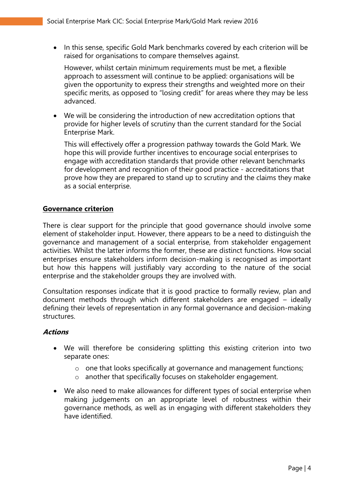• In this sense, specific Gold Mark benchmarks covered by each criterion will be raised for organisations to compare themselves against.

However, whilst certain minimum requirements must be met, a flexible approach to assessment will continue to be applied: organisations will be given the opportunity to express their strengths and weighted more on their specific merits, as opposed to "losing credit" for areas where they may be less advanced.

• We will be considering the introduction of new accreditation options that provide for higher levels of scrutiny than the current standard for the Social Enterprise Mark.

This will effectively offer a progression pathway towards the Gold Mark. We hope this will provide further incentives to encourage social enterprises to engage with accreditation standards that provide other relevant benchmarks for development and recognition of their good practice - accreditations that prove how they are prepared to stand up to scrutiny and the claims they make as a social enterprise.

#### **Governance criterion**

There is clear support for the principle that good governance should involve some element of stakeholder input. However, there appears to be a need to distinguish the governance and management of a social enterprise, from stakeholder engagement activities. Whilst the latter informs the former, these are distinct functions. How social enterprises ensure stakeholders inform decision-making is recognised as important but how this happens will justifiably vary according to the nature of the social enterprise and the stakeholder groups they are involved with.

Consultation responses indicate that it is good practice to formally review, plan and document methods through which different stakeholders are engaged – ideally defining their levels of representation in any formal governance and decision-making structures.

#### **Actions**

- We will therefore be considering splitting this existing criterion into two separate ones:
	- o one that looks specifically at governance and management functions;
	- o another that specifically focuses on stakeholder engagement.
- We also need to make allowances for different types of social enterprise when making judgements on an appropriate level of robustness within their governance methods, as well as in engaging with different stakeholders they have identified.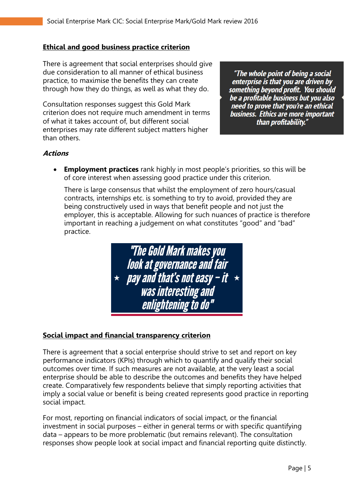#### **Ethical and good business practice criterion**

There is agreement that social enterprises should give due consideration to all manner of ethical business practice, to maximise the benefits they can create through how they do things, as well as what they do.

Consultation responses suggest this Gold Mark criterion does not require much amendment in terms of what it takes account of, but different social enterprises may rate different subject matters higher than others.

"The whole point of being a social enterprise is that you are driven by enterprise is that you are direct by<br>something beyond profit. You should<br>be a profitable business but you also need to prove that you're an ethical business. Ethics are more important than profitability."

#### **Actions**

• **Employment practices** rank highly in most people's priorities, so this will be of core interest when assessing good practice under this criterion.

There is large consensus that whilst the employment of zero hours/casual contracts, internships etc. is something to try to avoid, provided they are being constructively used in ways that benefit people and not just the employer, this is acceptable. Allowing for such nuances of practice is therefore important in reaching a judgement on what constitutes "good" and "bad" practice.



#### **Social impact and financial transparency criterion**

There is agreement that a social enterprise should strive to set and report on key performance indicators (KPIs) through which to quantify and qualify their social outcomes over time. If such measures are not available, at the very least a social enterprise should be able to describe the outcomes and benefits they have helped create. Comparatively few respondents believe that simply reporting activities that imply a social value or benefit is being created represents good practice in reporting social impact.

For most, reporting on financial indicators of social impact, or the financial investment in social purposes – either in general terms or with specific quantifying data – appears to be more problematic (but remains relevant). The consultation responses show people look at social impact and financial reporting quite distinctly.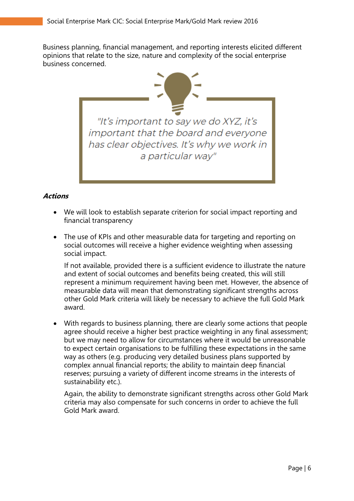Business planning, financial management, and reporting interests elicited different opinions that relate to the size, nature and complexity of the social enterprise business concerned.



#### **Actions**

- We will look to establish separate criterion for social impact reporting and financial transparency
- The use of KPIs and other measurable data for targeting and reporting on social outcomes will receive a higher evidence weighting when assessing social impact.

If not available, provided there is a sufficient evidence to illustrate the nature and extent of social outcomes and benefits being created, this will still represent a minimum requirement having been met. However, the absence of measurable data will mean that demonstrating significant strengths across other Gold Mark criteria will likely be necessary to achieve the full Gold Mark award.

• With regards to business planning, there are clearly some actions that people agree should receive a higher best practice weighting in any final assessment; but we may need to allow for circumstances where it would be unreasonable to expect certain organisations to be fulfilling these expectations in the same way as others (e.g. producing very detailed business plans supported by complex annual financial reports; the ability to maintain deep financial reserves; pursuing a variety of different income streams in the interests of sustainability etc.).

Again, the ability to demonstrate significant strengths across other Gold Mark criteria may also compensate for such concerns in order to achieve the full Gold Mark award.